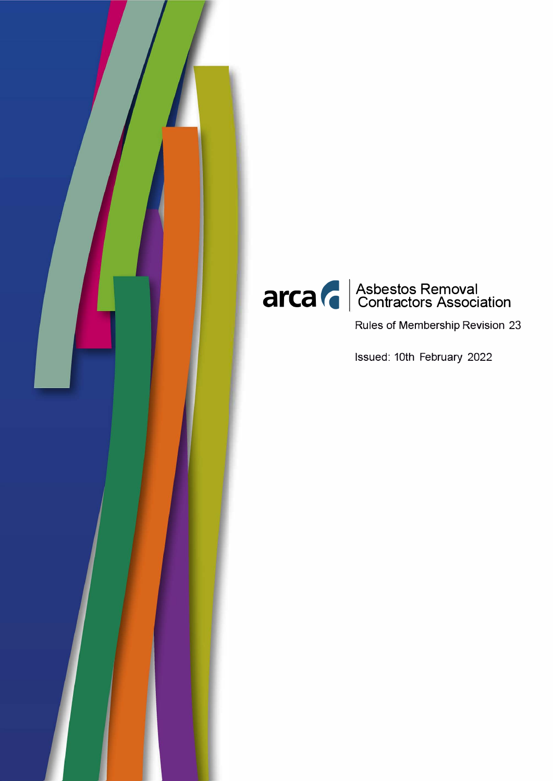



Rules of Membership Revision 23

Issued: 10th February 2022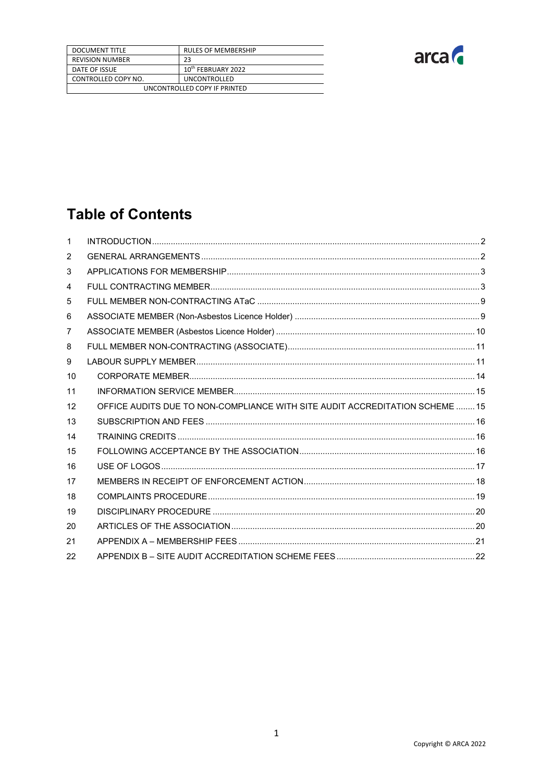| <b>DOCUMENT TITLE</b>        | <b>RULES OF MEMBERSHIP</b>     |
|------------------------------|--------------------------------|
| <b>REVISION NUMBER</b>       | 23                             |
| DATE OF ISSUE                | 10 <sup>th</sup> FEBRUARY 2022 |
| CONTROLLED COPY NO.          | <b>UNCONTROLLED</b>            |
| UNCONTROLLED COPY IF PRINTED |                                |



# **Table of Contents**

| $\mathbf{1}$    |                                                                              |  |
|-----------------|------------------------------------------------------------------------------|--|
| 2               |                                                                              |  |
| 3               |                                                                              |  |
| 4               |                                                                              |  |
| 5               |                                                                              |  |
| 6               |                                                                              |  |
| 7               |                                                                              |  |
| 8               |                                                                              |  |
| 9               |                                                                              |  |
| 10              |                                                                              |  |
| 11              |                                                                              |  |
| 12 <sup>°</sup> | OFFICE AUDITS DUE TO NON-COMPLIANCE WITH SITE AUDIT ACCREDITATION SCHEME  15 |  |
| 13              |                                                                              |  |
| 14              |                                                                              |  |
| 15              |                                                                              |  |
| 16              |                                                                              |  |
| 17              |                                                                              |  |
| 18              |                                                                              |  |
| 19              |                                                                              |  |
| 20              |                                                                              |  |
| 21              |                                                                              |  |
| 22              |                                                                              |  |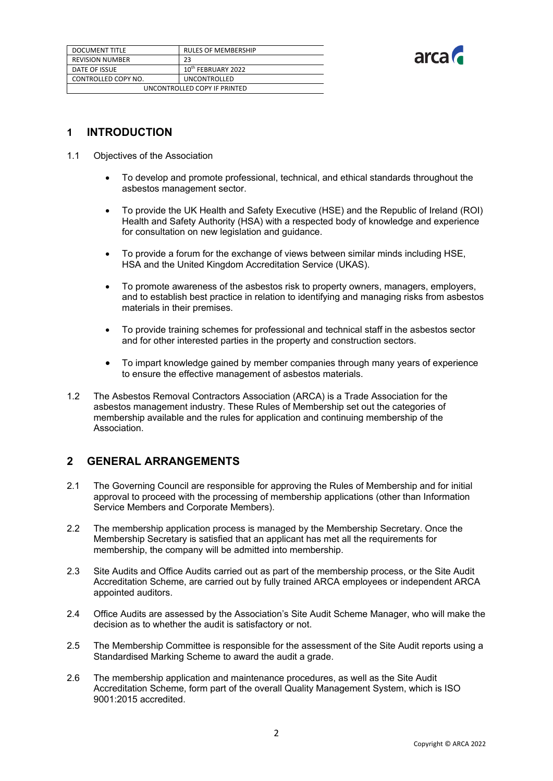| DOCUMENT TITLE               | <b>RULES OF MEMBERSHIP</b>     |
|------------------------------|--------------------------------|
| <b>REVISION NUMBER</b>       | 23                             |
| DATE OF ISSUE                | 10 <sup>th</sup> FEBRUARY 2022 |
| CONTROLLED COPY NO.          | <b>UNCONTROLLED</b>            |
| UNCONTROLLED COPY IF PRINTED |                                |



# <span id="page-2-0"></span>**1 INTRODUCTION**

- 1.1 Objectives of the Association
	- To develop and promote professional, technical, and ethical standards throughout the asbestos management sector.
	- To provide the UK Health and Safety Executive (HSE) and the Republic of Ireland (ROI) Health and Safety Authority (HSA) with a respected body of knowledge and experience for consultation on new legislation and guidance.
	- To provide a forum for the exchange of views between similar minds including HSE, HSA and the United Kingdom Accreditation Service (UKAS).
	- To promote awareness of the asbestos risk to property owners, managers, employers, and to establish best practice in relation to identifying and managing risks from asbestos materials in their premises.
	- To provide training schemes for professional and technical staff in the asbestos sector and for other interested parties in the property and construction sectors.
	- To impart knowledge gained by member companies through many years of experience to ensure the effective management of asbestos materials.
- 1.2 The Asbestos Removal Contractors Association (ARCA) is a Trade Association for the asbestos management industry. These Rules of Membership set out the categories of membership available and the rules for application and continuing membership of the Association.

# <span id="page-2-1"></span>**2 GENERAL ARRANGEMENTS**

- 2.1 The Governing Council are responsible for approving the Rules of Membership and for initial approval to proceed with the processing of membership applications (other than Information Service Members and Corporate Members).
- 2.2 The membership application process is managed by the Membership Secretary. Once the Membership Secretary is satisfied that an applicant has met all the requirements for membership, the company will be admitted into membership.
- 2.3 Site Audits and Office Audits carried out as part of the membership process, or the Site Audit Accreditation Scheme, are carried out by fully trained ARCA employees or independent ARCA appointed auditors.
- 2.4 Office Audits are assessed by the Association's Site Audit Scheme Manager, who will make the decision as to whether the audit is satisfactory or not.
- 2.5 The Membership Committee is responsible for the assessment of the Site Audit reports using a Standardised Marking Scheme to award the audit a grade.
- 2.6 The membership application and maintenance procedures, as well as the Site Audit Accreditation Scheme, form part of the overall Quality Management System, which is ISO 9001:2015 accredited.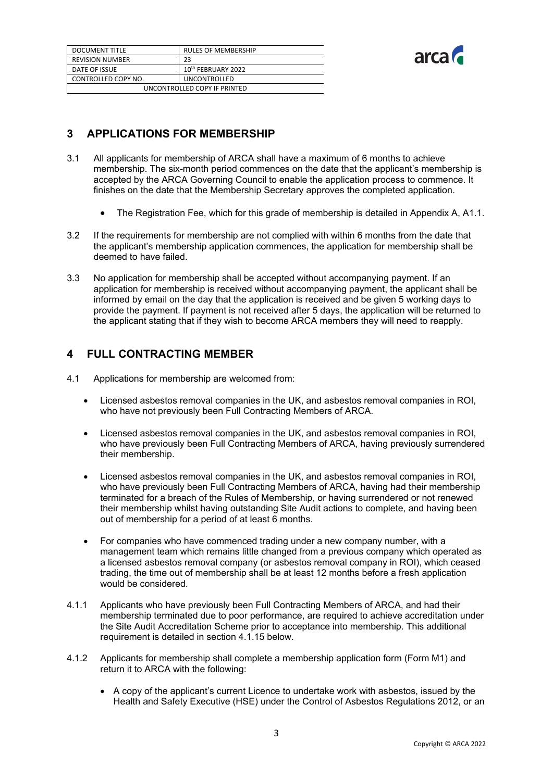| <b>DOCUMENT TITLE</b>        | <b>RULES OF MEMBERSHIP</b>     |
|------------------------------|--------------------------------|
| <b>REVISION NUMBER</b>       | 23                             |
| DATE OF ISSUE                | 10 <sup>th</sup> FEBRUARY 2022 |
| CONTROLLED COPY NO.          | <b>UNCONTROLLED</b>            |
| UNCONTROLLED COPY IF PRINTED |                                |



# <span id="page-3-0"></span>**3 APPLICATIONS FOR MEMBERSHIP**

- 3.1 All applicants for membership of ARCA shall have a maximum of 6 months to achieve membership. The six-month period commences on the date that the applicant's membership is accepted by the ARCA Governing Council to enable the application process to commence. It finishes on the date that the Membership Secretary approves the completed application.
	- The Registration Fee, which for this grade of membership is detailed in Appendix A, A1.1.
- 3.2 If the requirements for membership are not complied with within 6 months from the date that the applicant's membership application commences, the application for membership shall be deemed to have failed.
- 3.3 No application for membership shall be accepted without accompanying payment. If an application for membership is received without accompanying payment, the applicant shall be informed by email on the day that the application is received and be given 5 working days to provide the payment. If payment is not received after 5 days, the application will be returned to the applicant stating that if they wish to become ARCA members they will need to reapply.

# <span id="page-3-1"></span>**4 FULL CONTRACTING MEMBER**

- 4.1 Applications for membership are welcomed from:
	- Licensed asbestos removal companies in the UK, and asbestos removal companies in ROI, who have not previously been Full Contracting Members of ARCA.
	- Licensed asbestos removal companies in the UK, and asbestos removal companies in ROI, who have previously been Full Contracting Members of ARCA, having previously surrendered their membership.
	- Licensed asbestos removal companies in the UK, and asbestos removal companies in ROI, who have previously been Full Contracting Members of ARCA, having had their membership terminated for a breach of the Rules of Membership, or having surrendered or not renewed their membership whilst having outstanding Site Audit actions to complete, and having been out of membership for a period of at least 6 months.
	- For companies who have commenced trading under a new company number, with a management team which remains little changed from a previous company which operated as a licensed asbestos removal company (or asbestos removal company in ROI), which ceased trading, the time out of membership shall be at least 12 months before a fresh application would be considered.
- 4.1.1 Applicants who have previously been Full Contracting Members of ARCA, and had their membership terminated due to poor performance, are required to achieve accreditation under the Site Audit Accreditation Scheme prior to acceptance into membership. This additional requirement is detailed in section 4.1.15 below.
- 4.1.2 Applicants for membership shall complete a membership application form (Form M1) and return it to ARCA with the following:
	- A copy of the applicant's current Licence to undertake work with asbestos, issued by the Health and Safety Executive (HSE) under the Control of Asbestos Regulations 2012, or an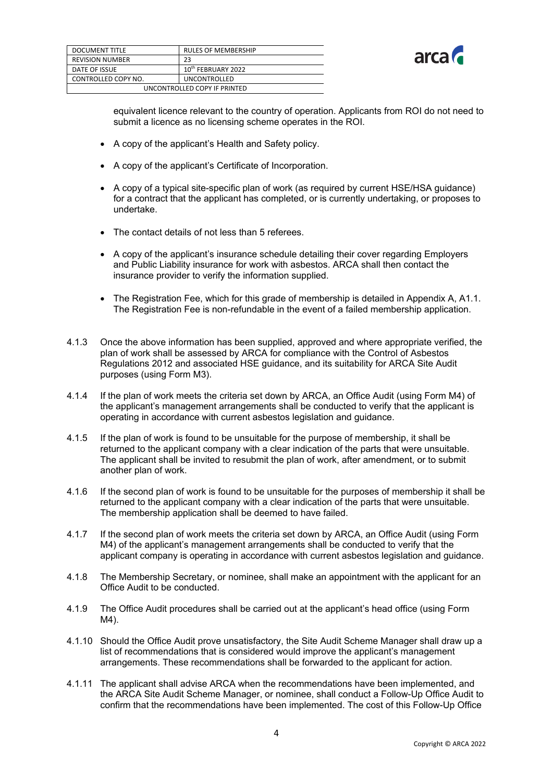

| <b>DOCUMENT TITLE</b>        | <b>RULES OF MEMBERSHIP</b>     |
|------------------------------|--------------------------------|
| <b>REVISION NUMBER</b>       | 23                             |
| DATE OF ISSUE                | 10 <sup>th</sup> FEBRUARY 2022 |
| CONTROLLED COPY NO.          | UNCONTROLLED                   |
| UNCONTROLLED COPY IF PRINTED |                                |

equivalent licence relevant to the country of operation. Applicants from ROI do not need to submit a licence as no licensing scheme operates in the ROI.

- A copy of the applicant's Health and Safety policy.
- A copy of the applicant's Certificate of Incorporation.
- A copy of a typical site-specific plan of work (as required by current HSE/HSA guidance) for a contract that the applicant has completed, or is currently undertaking, or proposes to undertake.
- The contact details of not less than 5 referees.
- A copy of the applicant's insurance schedule detailing their cover regarding Employers and Public Liability insurance for work with asbestos. ARCA shall then contact the insurance provider to verify the information supplied.
- The Registration Fee, which for this grade of membership is detailed in Appendix A, A1.1. The Registration Fee is non-refundable in the event of a failed membership application.
- 4.1.3 Once the above information has been supplied, approved and where appropriate verified, the plan of work shall be assessed by ARCA for compliance with the Control of Asbestos Regulations 2012 and associated HSE guidance, and its suitability for ARCA Site Audit purposes (using Form M3).
- 4.1.4 If the plan of work meets the criteria set down by ARCA, an Office Audit (using Form M4) of the applicant's management arrangements shall be conducted to verify that the applicant is operating in accordance with current asbestos legislation and guidance.
- 4.1.5 If the plan of work is found to be unsuitable for the purpose of membership, it shall be returned to the applicant company with a clear indication of the parts that were unsuitable. The applicant shall be invited to resubmit the plan of work, after amendment, or to submit another plan of work.
- 4.1.6 If the second plan of work is found to be unsuitable for the purposes of membership it shall be returned to the applicant company with a clear indication of the parts that were unsuitable. The membership application shall be deemed to have failed.
- 4.1.7 If the second plan of work meets the criteria set down by ARCA, an Office Audit (using Form M4) of the applicant's management arrangements shall be conducted to verify that the applicant company is operating in accordance with current asbestos legislation and guidance.
- 4.1.8 The Membership Secretary, or nominee, shall make an appointment with the applicant for an Office Audit to be conducted.
- 4.1.9 The Office Audit procedures shall be carried out at the applicant's head office (using Form M4).
- 4.1.10 Should the Office Audit prove unsatisfactory, the Site Audit Scheme Manager shall draw up a list of recommendations that is considered would improve the applicant's management arrangements. These recommendations shall be forwarded to the applicant for action.
- 4.1.11 The applicant shall advise ARCA when the recommendations have been implemented, and the ARCA Site Audit Scheme Manager, or nominee, shall conduct a Follow-Up Office Audit to confirm that the recommendations have been implemented. The cost of this Follow-Up Office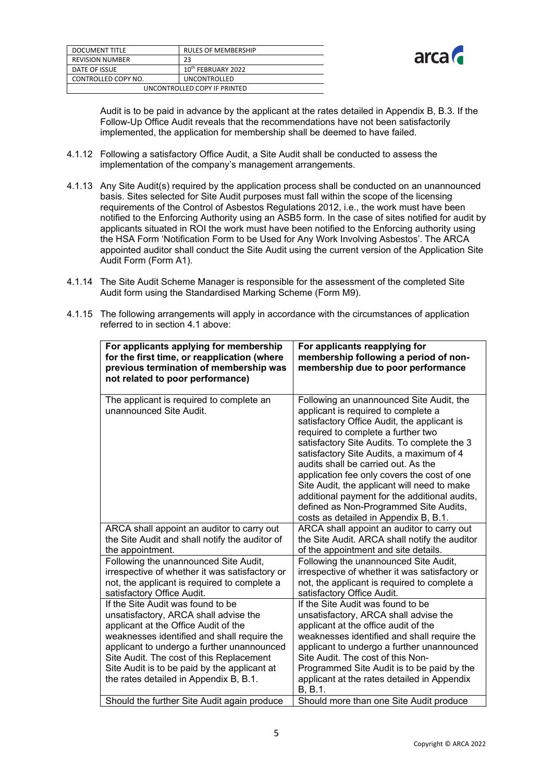| <b>DOCUMENT TITLE</b>        | <b>RULES OF MEMBERSHIP</b>     |
|------------------------------|--------------------------------|
| <b>REVISION NUMBER</b>       | 23                             |
| DATE OF ISSUE                | 10 <sup>th</sup> FEBRUARY 2022 |
| CONTROLLED COPY NO.          | <b>UNCONTROLLED</b>            |
| UNCONTROLLED COPY IF PRINTED |                                |



Audit is to be paid in advance by the applicant at the rates detailed in Appendix B, B.3. If the Follow-Up Office Audit reveals that the recommendations have not been satisfactorily implemented, the application for membership shall be deemed to have failed.

- 4.1.12 Following a satisfactory Office Audit, a Site Audit shall be conducted to assess the implementation of the company's management arrangements.
- 4.1.13 Any Site Audit(s) required by the application process shall be conducted on an unannounced basis. Sites selected for Site Audit purposes must fall within the scope of the licensing requirements of the Control of Asbestos Regulations 2012, i.e., the work must have been notified to the Enforcing Authority using an ASB5 form. In the case of sites notified for audit by applicants situated in ROI the work must have been notified to the Enforcing authority using the HSA Form 'Notification Form to be Used for Any Work Involving Asbestos'. The ARCA appointed auditor shall conduct the Site Audit using the current version of the Application Site Audit Form (Form A1).
- 4.1.14 The Site Audit Scheme Manager is responsible for the assessment of the completed Site Audit form using the Standardised Marking Scheme (Form M9).

| For applicants applying for membership<br>for the first time, or reapplication (where<br>previous termination of membership was<br>not related to poor performance)                                                                                                                                                                                   | For applicants reapplying for<br>membership following a period of non-<br>membership due to poor performance                                                                                                                                                                                                                                                                                                                                                                                                                             |
|-------------------------------------------------------------------------------------------------------------------------------------------------------------------------------------------------------------------------------------------------------------------------------------------------------------------------------------------------------|------------------------------------------------------------------------------------------------------------------------------------------------------------------------------------------------------------------------------------------------------------------------------------------------------------------------------------------------------------------------------------------------------------------------------------------------------------------------------------------------------------------------------------------|
| The applicant is required to complete an<br>unannounced Site Audit.                                                                                                                                                                                                                                                                                   | Following an unannounced Site Audit, the<br>applicant is required to complete a<br>satisfactory Office Audit, the applicant is<br>required to complete a further two<br>satisfactory Site Audits. To complete the 3<br>satisfactory Site Audits, a maximum of 4<br>audits shall be carried out. As the<br>application fee only covers the cost of one<br>Site Audit, the applicant will need to make<br>additional payment for the additional audits,<br>defined as Non-Programmed Site Audits,<br>costs as detailed in Appendix B, B.1. |
| ARCA shall appoint an auditor to carry out<br>the Site Audit and shall notify the auditor of<br>the appointment.                                                                                                                                                                                                                                      | ARCA shall appoint an auditor to carry out<br>the Site Audit. ARCA shall notify the auditor<br>of the appointment and site details.                                                                                                                                                                                                                                                                                                                                                                                                      |
| Following the unannounced Site Audit,<br>irrespective of whether it was satisfactory or<br>not, the applicant is required to complete a<br>satisfactory Office Audit.                                                                                                                                                                                 | Following the unannounced Site Audit,<br>irrespective of whether it was satisfactory or<br>not, the applicant is required to complete a<br>satisfactory Office Audit.                                                                                                                                                                                                                                                                                                                                                                    |
| If the Site Audit was found to be<br>unsatisfactory, ARCA shall advise the<br>applicant at the Office Audit of the<br>weaknesses identified and shall require the<br>applicant to undergo a further unannounced<br>Site Audit. The cost of this Replacement<br>Site Audit is to be paid by the applicant at<br>the rates detailed in Appendix B, B.1. | If the Site Audit was found to be<br>unsatisfactory, ARCA shall advise the<br>applicant at the office audit of the<br>weaknesses identified and shall require the<br>applicant to undergo a further unannounced<br>Site Audit. The cost of this Non-<br>Programmed Site Audit is to be paid by the<br>applicant at the rates detailed in Appendix<br>B, B.1.                                                                                                                                                                             |
| Should the further Site Audit again produce                                                                                                                                                                                                                                                                                                           | Should more than one Site Audit produce                                                                                                                                                                                                                                                                                                                                                                                                                                                                                                  |

4.1.15 The following arrangements will apply in accordance with the circumstances of application referred to in section 4.1 above: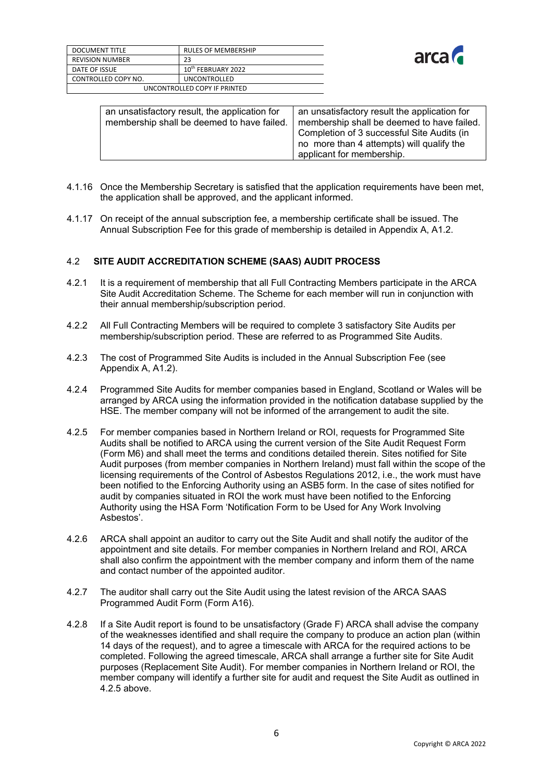| <b>DOCUMENT TITLE</b>        | <b>RULES OF MEMBERSHIP</b>     |
|------------------------------|--------------------------------|
| <b>REVISION NUMBER</b>       | 23                             |
| DATE OF ISSUE                | 10 <sup>th</sup> FEBRUARY 2022 |
| CONTROLLED COPY NO.          | <b>UNCONTROLLED</b>            |
| UNCONTROLLED COPY IF PRINTED |                                |



| an unsatisfactory result, the application for<br>membership shall be deemed to have failed. | an unsatisfactory result the application for<br>membership shall be deemed to have failed.<br>Completion of 3 successful Site Audits (in<br>no more than 4 attempts) will qualify the<br>applicant for membership. |
|---------------------------------------------------------------------------------------------|--------------------------------------------------------------------------------------------------------------------------------------------------------------------------------------------------------------------|
|---------------------------------------------------------------------------------------------|--------------------------------------------------------------------------------------------------------------------------------------------------------------------------------------------------------------------|

- 4.1.16 Once the Membership Secretary is satisfied that the application requirements have been met, the application shall be approved, and the applicant informed.
- 4.1.17 On receipt of the annual subscription fee, a membership certificate shall be issued. The Annual Subscription Fee for this grade of membership is detailed in Appendix A, A1.2.

#### 4.2 **SITE AUDIT ACCREDITATION SCHEME (SAAS) AUDIT PROCESS**

- 4.2.1 It is a requirement of membership that all Full Contracting Members participate in the ARCA Site Audit Accreditation Scheme. The Scheme for each member will run in conjunction with their annual membership/subscription period.
- 4.2.2 All Full Contracting Members will be required to complete 3 satisfactory Site Audits per membership/subscription period. These are referred to as Programmed Site Audits.
- 4.2.3 The cost of Programmed Site Audits is included in the Annual Subscription Fee (see Appendix A, A1.2).
- 4.2.4 Programmed Site Audits for member companies based in England, Scotland or Wales will be arranged by ARCA using the information provided in the notification database supplied by the HSE. The member company will not be informed of the arrangement to audit the site.
- 4.2.5 For member companies based in Northern Ireland or ROI, requests for Programmed Site Audits shall be notified to ARCA using the current version of the Site Audit Request Form (Form M6) and shall meet the terms and conditions detailed therein. Sites notified for Site Audit purposes (from member companies in Northern Ireland) must fall within the scope of the licensing requirements of the Control of Asbestos Regulations 2012, i.e., the work must have been notified to the Enforcing Authority using an ASB5 form. In the case of sites notified for audit by companies situated in ROI the work must have been notified to the Enforcing Authority using the HSA Form 'Notification Form to be Used for Any Work Involving Asbestos'.
- 4.2.6 ARCA shall appoint an auditor to carry out the Site Audit and shall notify the auditor of the appointment and site details. For member companies in Northern Ireland and ROI, ARCA shall also confirm the appointment with the member company and inform them of the name and contact number of the appointed auditor.
- 4.2.7 The auditor shall carry out the Site Audit using the latest revision of the ARCA SAAS Programmed Audit Form (Form A16).
- 4.2.8 If a Site Audit report is found to be unsatisfactory (Grade F) ARCA shall advise the company of the weaknesses identified and shall require the company to produce an action plan (within 14 days of the request), and to agree a timescale with ARCA for the required actions to be completed. Following the agreed timescale, ARCA shall arrange a further site for Site Audit purposes (Replacement Site Audit). For member companies in Northern Ireland or ROI, the member company will identify a further site for audit and request the Site Audit as outlined in 4.2.5 above.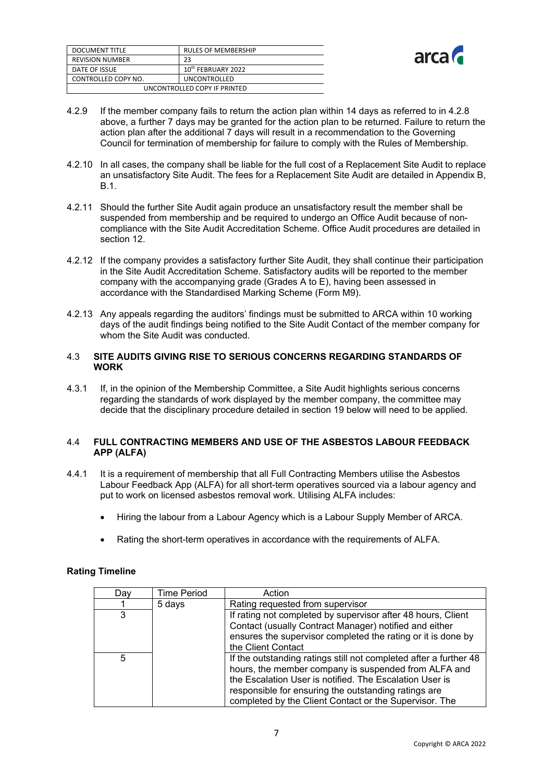| DOCUMENT TITLE               | <b>RULES OF MEMBERSHIP</b>     |
|------------------------------|--------------------------------|
| <b>REVISION NUMBER</b>       | 23                             |
| DATE OF ISSUE                | 10 <sup>th</sup> FEBRUARY 2022 |
| CONTROLLED COPY NO.          | <b>UNCONTROLLED</b>            |
| UNCONTROLLED COPY IF PRINTED |                                |



- 4.2.9 If the member company fails to return the action plan within 14 days as referred to in 4.2.8 above, a further 7 days may be granted for the action plan to be returned. Failure to return the action plan after the additional 7 days will result in a recommendation to the Governing Council for termination of membership for failure to comply with the Rules of Membership.
- 4.2.10 In all cases, the company shall be liable for the full cost of a Replacement Site Audit to replace an unsatisfactory Site Audit. The fees for a Replacement Site Audit are detailed in Appendix B, B.1.
- 4.2.11 Should the further Site Audit again produce an unsatisfactory result the member shall be suspended from membership and be required to undergo an Office Audit because of noncompliance with the Site Audit Accreditation Scheme. Office Audit procedures are detailed in section 12.
- 4.2.12 If the company provides a satisfactory further Site Audit, they shall continue their participation in the Site Audit Accreditation Scheme. Satisfactory audits will be reported to the member company with the accompanying grade (Grades A to E), having been assessed in accordance with the Standardised Marking Scheme (Form M9).
- 4.2.13 Any appeals regarding the auditors' findings must be submitted to ARCA within 10 working days of the audit findings being notified to the Site Audit Contact of the member company for whom the Site Audit was conducted.

#### 4.3 **SITE AUDITS GIVING RISE TO SERIOUS CONCERNS REGARDING STANDARDS OF WORK**

4.3.1 If, in the opinion of the Membership Committee, a Site Audit highlights serious concerns regarding the standards of work displayed by the member company, the committee may decide that the disciplinary procedure detailed in section 19 below will need to be applied.

#### 4.4 **FULL CONTRACTING MEMBERS AND USE OF THE ASBESTOS LABOUR FEEDBACK APP (ALFA)**

- 4.4.1 It is a requirement of membership that all Full Contracting Members utilise the Asbestos Labour Feedback App (ALFA) for all short-term operatives sourced via a labour agency and put to work on licensed asbestos removal work. Utilising ALFA includes:
	- Hiring the labour from a Labour Agency which is a Labour Supply Member of ARCA.
	- Rating the short-term operatives in accordance with the requirements of ALFA.

| Dav | <b>Time Period</b> | Action                                                            |
|-----|--------------------|-------------------------------------------------------------------|
|     | 5 days             | Rating requested from supervisor                                  |
| 3   |                    | If rating not completed by supervisor after 48 hours, Client      |
|     |                    | Contact (usually Contract Manager) notified and either            |
|     |                    | ensures the supervisor completed the rating or it is done by      |
|     |                    | the Client Contact                                                |
| 5   |                    | If the outstanding ratings still not completed after a further 48 |
|     |                    | hours, the member company is suspended from ALFA and              |
|     |                    | the Escalation User is notified. The Escalation User is           |
|     |                    | responsible for ensuring the outstanding ratings are              |
|     |                    | completed by the Client Contact or the Supervisor. The            |

#### **Rating Timeline**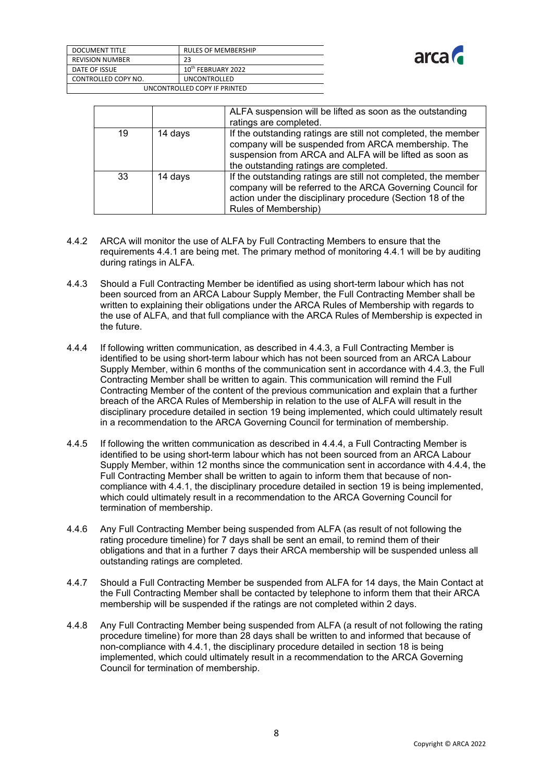

| <b>DOCUMENT TITLE</b>        | <b>RULES OF MEMBERSHIP</b>     |
|------------------------------|--------------------------------|
| <b>REVISION NUMBER</b>       | 23                             |
| DATE OF ISSUE                | 10 <sup>th</sup> FEBRUARY 2022 |
| CONTROLLED COPY NO.          | <b>UNCONTROLLED</b>            |
| UNCONTROLLED COPY IF PRINTED |                                |

|    |         | ALFA suspension will be lifted as soon as the outstanding                                                                                                                                                                  |
|----|---------|----------------------------------------------------------------------------------------------------------------------------------------------------------------------------------------------------------------------------|
|    |         | ratings are completed.                                                                                                                                                                                                     |
| 19 | 14 days | If the outstanding ratings are still not completed, the member<br>company will be suspended from ARCA membership. The<br>suspension from ARCA and ALFA will be lifted as soon as<br>the outstanding ratings are completed. |
| 33 | 14 days | If the outstanding ratings are still not completed, the member<br>company will be referred to the ARCA Governing Council for<br>action under the disciplinary procedure (Section 18 of the<br>Rules of Membership)         |

- 4.4.2 ARCA will monitor the use of ALFA by Full Contracting Members to ensure that the requirements 4.4.1 are being met. The primary method of monitoring 4.4.1 will be by auditing during ratings in ALFA.
- 4.4.3 Should a Full Contracting Member be identified as using short-term labour which has not been sourced from an ARCA Labour Supply Member, the Full Contracting Member shall be written to explaining their obligations under the ARCA Rules of Membership with regards to the use of ALFA, and that full compliance with the ARCA Rules of Membership is expected in the future.
- 4.4.4 If following written communication, as described in 4.4.3, a Full Contracting Member is identified to be using short-term labour which has not been sourced from an ARCA Labour Supply Member, within 6 months of the communication sent in accordance with 4.4.3, the Full Contracting Member shall be written to again. This communication will remind the Full Contracting Member of the content of the previous communication and explain that a further breach of the ARCA Rules of Membership in relation to the use of ALFA will result in the disciplinary procedure detailed in section 19 being implemented, which could ultimately result in a recommendation to the ARCA Governing Council for termination of membership.
- 4.4.5 If following the written communication as described in 4.4.4, a Full Contracting Member is identified to be using short-term labour which has not been sourced from an ARCA Labour Supply Member, within 12 months since the communication sent in accordance with 4.4.4, the Full Contracting Member shall be written to again to inform them that because of noncompliance with 4.4.1, the disciplinary procedure detailed in section 19 is being implemented, which could ultimately result in a recommendation to the ARCA Governing Council for termination of membership.
- 4.4.6 Any Full Contracting Member being suspended from ALFA (as result of not following the rating procedure timeline) for 7 days shall be sent an email, to remind them of their obligations and that in a further 7 days their ARCA membership will be suspended unless all outstanding ratings are completed.
- 4.4.7 Should a Full Contracting Member be suspended from ALFA for 14 days, the Main Contact at the Full Contracting Member shall be contacted by telephone to inform them that their ARCA membership will be suspended if the ratings are not completed within 2 days.
- 4.4.8 Any Full Contracting Member being suspended from ALFA (a result of not following the rating procedure timeline) for more than 28 days shall be written to and informed that because of non-compliance with 4.4.1, the disciplinary procedure detailed in section 18 is being implemented, which could ultimately result in a recommendation to the ARCA Governing Council for termination of membership.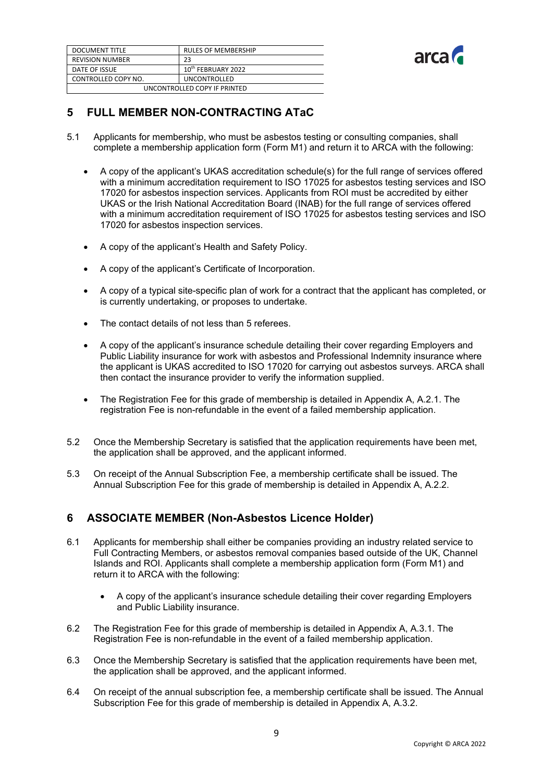| DOCUMENT TITLE               | <b>RULES OF MEMBERSHIP</b>     |  |
|------------------------------|--------------------------------|--|
| <b>REVISION NUMBER</b>       | 23                             |  |
| DATE OF ISSUE                | 10 <sup>th</sup> FEBRUARY 2022 |  |
| CONTROLLED COPY NO.          | <b>UNCONTROLLED</b>            |  |
| UNCONTROLLED COPY IF PRINTED |                                |  |



# <span id="page-9-0"></span>**5 FULL MEMBER NON-CONTRACTING ATaC**

- 5.1 Applicants for membership, who must be asbestos testing or consulting companies, shall complete a membership application form (Form M1) and return it to ARCA with the following:
	- A copy of the applicant's UKAS accreditation schedule(s) for the full range of services offered with a minimum accreditation requirement to ISO 17025 for asbestos testing services and ISO 17020 for asbestos inspection services. Applicants from ROI must be accredited by either UKAS or the Irish National Accreditation Board (INAB) for the full range of services offered with a minimum accreditation requirement of ISO 17025 for asbestos testing services and ISO 17020 for asbestos inspection services.
	- A copy of the applicant's Health and Safety Policy.
	- A copy of the applicant's Certificate of Incorporation.
	- A copy of a typical site-specific plan of work for a contract that the applicant has completed, or is currently undertaking, or proposes to undertake.
	- The contact details of not less than 5 referees.
	- A copy of the applicant's insurance schedule detailing their cover regarding Employers and Public Liability insurance for work with asbestos and Professional Indemnity insurance where the applicant is UKAS accredited to ISO 17020 for carrying out asbestos surveys. ARCA shall then contact the insurance provider to verify the information supplied.
	- The Registration Fee for this grade of membership is detailed in Appendix A, A.2.1. The registration Fee is non-refundable in the event of a failed membership application.
- 5.2 Once the Membership Secretary is satisfied that the application requirements have been met, the application shall be approved, and the applicant informed.
- 5.3 On receipt of the Annual Subscription Fee, a membership certificate shall be issued. The Annual Subscription Fee for this grade of membership is detailed in Appendix A, A.2.2.

# <span id="page-9-1"></span>**6 ASSOCIATE MEMBER (Non-Asbestos Licence Holder)**

- 6.1 Applicants for membership shall either be companies providing an industry related service to Full Contracting Members, or asbestos removal companies based outside of the UK, Channel Islands and ROI. Applicants shall complete a membership application form (Form M1) and return it to ARCA with the following:
	- A copy of the applicant's insurance schedule detailing their cover regarding Employers and Public Liability insurance.
- 6.2 The Registration Fee for this grade of membership is detailed in Appendix A, A.3.1. The Registration Fee is non-refundable in the event of a failed membership application.
- 6.3 Once the Membership Secretary is satisfied that the application requirements have been met, the application shall be approved, and the applicant informed.
- 6.4 On receipt of the annual subscription fee, a membership certificate shall be issued. The Annual Subscription Fee for this grade of membership is detailed in Appendix A, A.3.2.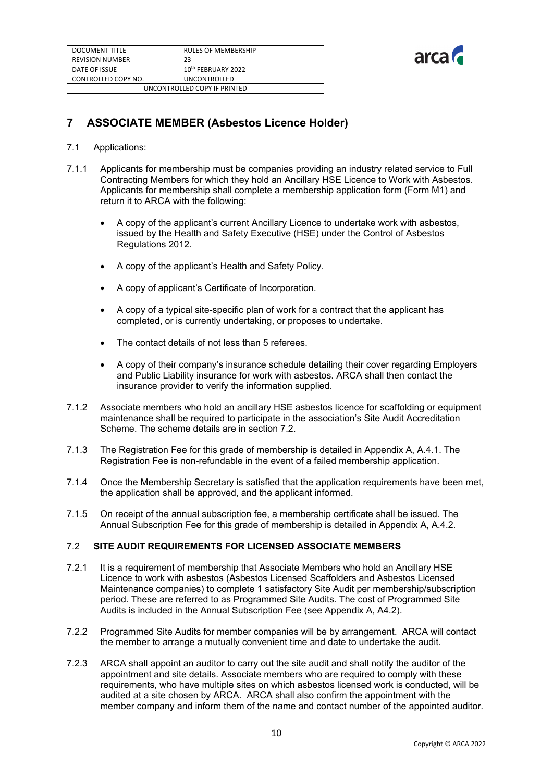| <b>DOCUMENT TITLE</b>        | <b>RULES OF MEMBERSHIP</b>     |  |
|------------------------------|--------------------------------|--|
| <b>REVISION NUMBER</b>       | 23                             |  |
| DATE OF ISSUE                | 10 <sup>th</sup> FEBRUARY 2022 |  |
| CONTROLLED COPY NO.          | <b>UNCONTROLLED</b>            |  |
| UNCONTROLLED COPY IF PRINTED |                                |  |



# <span id="page-10-0"></span>**7 ASSOCIATE MEMBER (Asbestos Licence Holder)**

#### 7.1 Applications:

- 7.1.1 Applicants for membership must be companies providing an industry related service to Full Contracting Members for which they hold an Ancillary HSE Licence to Work with Asbestos. Applicants for membership shall complete a membership application form (Form M1) and return it to ARCA with the following:
	- A copy of the applicant's current Ancillary Licence to undertake work with asbestos, issued by the Health and Safety Executive (HSE) under the Control of Asbestos Regulations 2012.
	- A copy of the applicant's Health and Safety Policy.
	- A copy of applicant's Certificate of Incorporation.
	- A copy of a typical site-specific plan of work for a contract that the applicant has completed, or is currently undertaking, or proposes to undertake.
	- The contact details of not less than 5 referees.
	- A copy of their company's insurance schedule detailing their cover regarding Employers and Public Liability insurance for work with asbestos. ARCA shall then contact the insurance provider to verify the information supplied.
- 7.1.2 Associate members who hold an ancillary HSE asbestos licence for scaffolding or equipment maintenance shall be required to participate in the association's Site Audit Accreditation Scheme. The scheme details are in section 7.2.
- 7.1.3 The Registration Fee for this grade of membership is detailed in Appendix A, A.4.1. The Registration Fee is non-refundable in the event of a failed membership application.
- 7.1.4 Once the Membership Secretary is satisfied that the application requirements have been met, the application shall be approved, and the applicant informed.
- 7.1.5 On receipt of the annual subscription fee, a membership certificate shall be issued. The Annual Subscription Fee for this grade of membership is detailed in Appendix A, A.4.2.

#### 7.2 **SITE AUDIT REQUIREMENTS FOR LICENSED ASSOCIATE MEMBERS**

- 7.2.1 It is a requirement of membership that Associate Members who hold an Ancillary HSE Licence to work with asbestos (Asbestos Licensed Scaffolders and Asbestos Licensed Maintenance companies) to complete 1 satisfactory Site Audit per membership/subscription period. These are referred to as Programmed Site Audits. The cost of Programmed Site Audits is included in the Annual Subscription Fee (see Appendix A, A4.2).
- 7.2.2 Programmed Site Audits for member companies will be by arrangement. ARCA will contact the member to arrange a mutually convenient time and date to undertake the audit.
- 7.2.3 ARCA shall appoint an auditor to carry out the site audit and shall notify the auditor of the appointment and site details. Associate members who are required to comply with these requirements, who have multiple sites on which asbestos licensed work is conducted, will be audited at a site chosen by ARCA. ARCA shall also confirm the appointment with the member company and inform them of the name and contact number of the appointed auditor.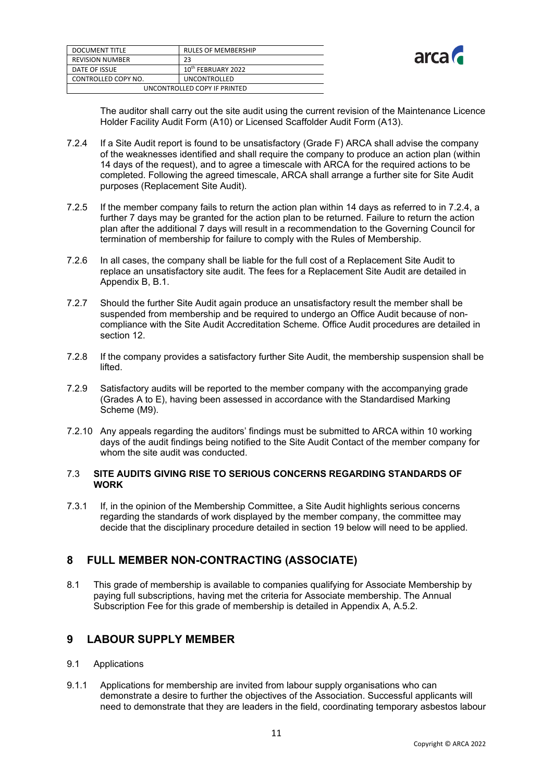| DOCUMENT TITLE               | <b>RULES OF MEMBERSHIP</b>     |  |
|------------------------------|--------------------------------|--|
| REVISION NUMBER              | 23                             |  |
| DATE OF ISSUE                | 10 <sup>th</sup> FEBRUARY 2022 |  |
| CONTROLLED COPY NO.          | <b>UNCONTROLLED</b>            |  |
| UNCONTROLLED COPY IF PRINTED |                                |  |



The auditor shall carry out the site audit using the current revision of the Maintenance Licence Holder Facility Audit Form (A10) or Licensed Scaffolder Audit Form (A13).

- 7.2.4 If a Site Audit report is found to be unsatisfactory (Grade F) ARCA shall advise the company of the weaknesses identified and shall require the company to produce an action plan (within 14 days of the request), and to agree a timescale with ARCA for the required actions to be completed. Following the agreed timescale, ARCA shall arrange a further site for Site Audit purposes (Replacement Site Audit).
- 7.2.5 If the member company fails to return the action plan within 14 days as referred to in 7.2.4, a further 7 days may be granted for the action plan to be returned. Failure to return the action plan after the additional 7 days will result in a recommendation to the Governing Council for termination of membership for failure to comply with the Rules of Membership.
- 7.2.6 In all cases, the company shall be liable for the full cost of a Replacement Site Audit to replace an unsatisfactory site audit. The fees for a Replacement Site Audit are detailed in Appendix B, B.1.
- 7.2.7 Should the further Site Audit again produce an unsatisfactory result the member shall be suspended from membership and be required to undergo an Office Audit because of noncompliance with the Site Audit Accreditation Scheme. Office Audit procedures are detailed in section 12.
- 7.2.8 If the company provides a satisfactory further Site Audit, the membership suspension shall be lifted.
- 7.2.9 Satisfactory audits will be reported to the member company with the accompanying grade (Grades A to E), having been assessed in accordance with the Standardised Marking Scheme (M9).
- 7.2.10 Any appeals regarding the auditors' findings must be submitted to ARCA within 10 working days of the audit findings being notified to the Site Audit Contact of the member company for whom the site audit was conducted.

#### 7.3 **SITE AUDITS GIVING RISE TO SERIOUS CONCERNS REGARDING STANDARDS OF WORK**

7.3.1 If, in the opinion of the Membership Committee, a Site Audit highlights serious concerns regarding the standards of work displayed by the member company, the committee may decide that the disciplinary procedure detailed in section 19 below will need to be applied.

# <span id="page-11-0"></span>**8 FULL MEMBER NON-CONTRACTING (ASSOCIATE)**

8.1 This grade of membership is available to companies qualifying for Associate Membership by paying full subscriptions, having met the criteria for Associate membership. The Annual Subscription Fee for this grade of membership is detailed in Appendix A, A.5.2.

# <span id="page-11-1"></span>**9 LABOUR SUPPLY MEMBER**

#### 9.1 Applications

9.1.1 Applications for membership are invited from labour supply organisations who can demonstrate a desire to further the objectives of the Association. Successful applicants will need to demonstrate that they are leaders in the field, coordinating temporary asbestos labour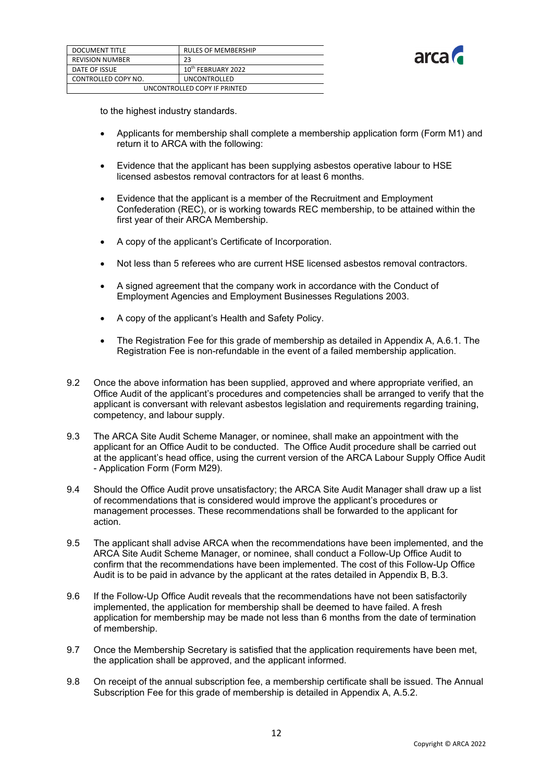

| DOCUMENT TITLE               | <b>RULES OF MEMBERSHIP</b>     |  |
|------------------------------|--------------------------------|--|
| <b>REVISION NUMBER</b>       | 23                             |  |
| DATE OF ISSUE                | 10 <sup>th</sup> FEBRUARY 2022 |  |
| CONTROLLED COPY NO.          | <b>UNCONTROLLED</b>            |  |
| UNCONTROLLED COPY IF PRINTED |                                |  |

to the highest industry standards.

- Applicants for membership shall complete a membership application form (Form M1) and return it to ARCA with the following:
- Evidence that the applicant has been supplying asbestos operative labour to HSE licensed asbestos removal contractors for at least 6 months.
- Evidence that the applicant is a member of the Recruitment and Employment Confederation (REC), or is working towards REC membership, to be attained within the first year of their ARCA Membership.
- A copy of the applicant's Certificate of Incorporation.
- Not less than 5 referees who are current HSE licensed asbestos removal contractors.
- A signed agreement that the company work in accordance with the Conduct of Employment Agencies and Employment Businesses Regulations 2003.
- A copy of the applicant's Health and Safety Policy.
- The Registration Fee for this grade of membership as detailed in Appendix A, A.6.1. The Registration Fee is non-refundable in the event of a failed membership application.
- 9.2 Once the above information has been supplied, approved and where appropriate verified, an Office Audit of the applicant's procedures and competencies shall be arranged to verify that the applicant is conversant with relevant asbestos legislation and requirements regarding training, competency, and labour supply.
- 9.3 The ARCA Site Audit Scheme Manager, or nominee, shall make an appointment with the applicant for an Office Audit to be conducted. The Office Audit procedure shall be carried out at the applicant's head office, using the current version of the ARCA Labour Supply Office Audit - Application Form (Form M29).
- 9.4 Should the Office Audit prove unsatisfactory; the ARCA Site Audit Manager shall draw up a list of recommendations that is considered would improve the applicant's procedures or management processes. These recommendations shall be forwarded to the applicant for action.
- 9.5 The applicant shall advise ARCA when the recommendations have been implemented, and the ARCA Site Audit Scheme Manager, or nominee, shall conduct a Follow-Up Office Audit to confirm that the recommendations have been implemented. The cost of this Follow-Up Office Audit is to be paid in advance by the applicant at the rates detailed in Appendix B, B.3.
- 9.6 If the Follow-Up Office Audit reveals that the recommendations have not been satisfactorily implemented, the application for membership shall be deemed to have failed. A fresh application for membership may be made not less than 6 months from the date of termination of membership.
- 9.7 Once the Membership Secretary is satisfied that the application requirements have been met, the application shall be approved, and the applicant informed.
- 9.8 On receipt of the annual subscription fee, a membership certificate shall be issued. The Annual Subscription Fee for this grade of membership is detailed in Appendix A, A.5.2.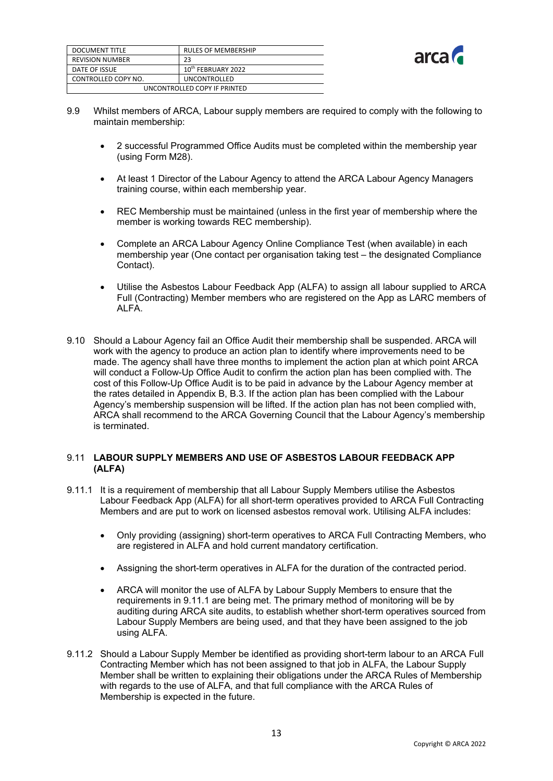| <b>DOCUMENT TITLE</b>        | <b>RULES OF MEMBERSHIP</b>     |  |
|------------------------------|--------------------------------|--|
| <b>REVISION NUMBER</b>       | 23                             |  |
| DATE OF ISSUE                | 10 <sup>th</sup> FEBRUARY 2022 |  |
| CONTROLLED COPY NO.          | <b>UNCONTROLLED</b>            |  |
| UNCONTROLLED COPY IF PRINTED |                                |  |



- 9.9 Whilst members of ARCA, Labour supply members are required to comply with the following to maintain membership:
	- 2 successful Programmed Office Audits must be completed within the membership year (using Form M28).
	- At least 1 Director of the Labour Agency to attend the ARCA Labour Agency Managers training course, within each membership year.
	- REC Membership must be maintained (unless in the first year of membership where the member is working towards REC membership).
	- Complete an ARCA Labour Agency Online Compliance Test (when available) in each membership year (One contact per organisation taking test – the designated Compliance Contact).
	- Utilise the Asbestos Labour Feedback App (ALFA) to assign all labour supplied to ARCA Full (Contracting) Member members who are registered on the App as LARC members of ALFA.
- 9.10 Should a Labour Agency fail an Office Audit their membership shall be suspended. ARCA will work with the agency to produce an action plan to identify where improvements need to be made. The agency shall have three months to implement the action plan at which point ARCA will conduct a Follow-Up Office Audit to confirm the action plan has been complied with. The cost of this Follow-Up Office Audit is to be paid in advance by the Labour Agency member at the rates detailed in Appendix B, B.3. If the action plan has been complied with the Labour Agency's membership suspension will be lifted. If the action plan has not been complied with, ARCA shall recommend to the ARCA Governing Council that the Labour Agency's membership is terminated.

#### 9.11 **LABOUR SUPPLY MEMBERS AND USE OF ASBESTOS LABOUR FEEDBACK APP (ALFA)**

- 9.11.1 It is a requirement of membership that all Labour Supply Members utilise the Asbestos Labour Feedback App (ALFA) for all short-term operatives provided to ARCA Full Contracting Members and are put to work on licensed asbestos removal work. Utilising ALFA includes:
	- Only providing (assigning) short-term operatives to ARCA Full Contracting Members, who are registered in ALFA and hold current mandatory certification.
	- Assigning the short-term operatives in ALFA for the duration of the contracted period.
	- ARCA will monitor the use of ALFA by Labour Supply Members to ensure that the requirements in 9.11.1 are being met. The primary method of monitoring will be by auditing during ARCA site audits, to establish whether short-term operatives sourced from Labour Supply Members are being used, and that they have been assigned to the job using ALFA.
- 9.11.2 Should a Labour Supply Member be identified as providing short-term labour to an ARCA Full Contracting Member which has not been assigned to that job in ALFA, the Labour Supply Member shall be written to explaining their obligations under the ARCA Rules of Membership with regards to the use of ALFA, and that full compliance with the ARCA Rules of Membership is expected in the future.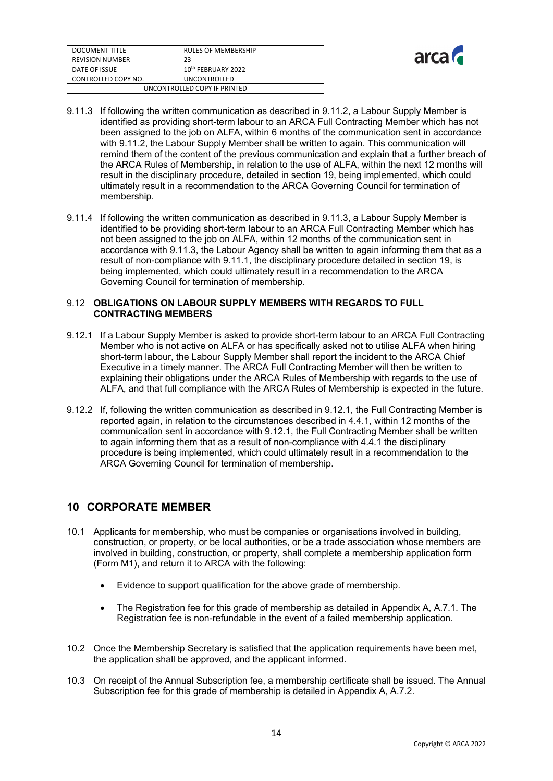| <b>DOCUMENT TITLE</b>        | <b>RULES OF MEMBERSHIP</b>     |  |
|------------------------------|--------------------------------|--|
| <b>REVISION NUMBER</b>       | 23                             |  |
| DATE OF ISSUE                | 10 <sup>th</sup> FEBRUARY 2022 |  |
| CONTROLLED COPY NO.          | <b>UNCONTROLLED</b>            |  |
| UNCONTROLLED COPY IF PRINTED |                                |  |



- 9.11.3 If following the written communication as described in 9.11.2, a Labour Supply Member is identified as providing short-term labour to an ARCA Full Contracting Member which has not been assigned to the job on ALFA, within 6 months of the communication sent in accordance with 9.11.2, the Labour Supply Member shall be written to again. This communication will remind them of the content of the previous communication and explain that a further breach of the ARCA Rules of Membership, in relation to the use of ALFA, within the next 12 months will result in the disciplinary procedure, detailed in section 19, being implemented, which could ultimately result in a recommendation to the ARCA Governing Council for termination of membership.
- 9.11.4 If following the written communication as described in 9.11.3, a Labour Supply Member is identified to be providing short-term labour to an ARCA Full Contracting Member which has not been assigned to the job on ALFA, within 12 months of the communication sent in accordance with 9.11.3, the Labour Agency shall be written to again informing them that as a result of non-compliance with 9.11.1, the disciplinary procedure detailed in section 19, is being implemented, which could ultimately result in a recommendation to the ARCA Governing Council for termination of membership.

#### 9.12 **OBLIGATIONS ON LABOUR SUPPLY MEMBERS WITH REGARDS TO FULL CONTRACTING MEMBERS**

- 9.12.1 If a Labour Supply Member is asked to provide short-term labour to an ARCA Full Contracting Member who is not active on ALFA or has specifically asked not to utilise ALFA when hiring short-term labour, the Labour Supply Member shall report the incident to the ARCA Chief Executive in a timely manner. The ARCA Full Contracting Member will then be written to explaining their obligations under the ARCA Rules of Membership with regards to the use of ALFA, and that full compliance with the ARCA Rules of Membership is expected in the future.
- 9.12.2 If, following the written communication as described in 9.12.1, the Full Contracting Member is reported again, in relation to the circumstances described in 4.4.1, within 12 months of the communication sent in accordance with 9.12.1, the Full Contracting Member shall be written to again informing them that as a result of non-compliance with 4.4.1 the disciplinary procedure is being implemented, which could ultimately result in a recommendation to the ARCA Governing Council for termination of membership.

# <span id="page-14-0"></span>**10 CORPORATE MEMBER**

- 10.1 Applicants for membership, who must be companies or organisations involved in building, construction, or property, or be local authorities, or be a trade association whose members are involved in building, construction, or property, shall complete a membership application form (Form M1), and return it to ARCA with the following:
	- Evidence to support qualification for the above grade of membership.
	- The Registration fee for this grade of membership as detailed in Appendix A, A.7.1. The Registration fee is non-refundable in the event of a failed membership application.
- 10.2 Once the Membership Secretary is satisfied that the application requirements have been met, the application shall be approved, and the applicant informed.
- 10.3 On receipt of the Annual Subscription fee, a membership certificate shall be issued. The Annual Subscription fee for this grade of membership is detailed in Appendix A, A.7.2.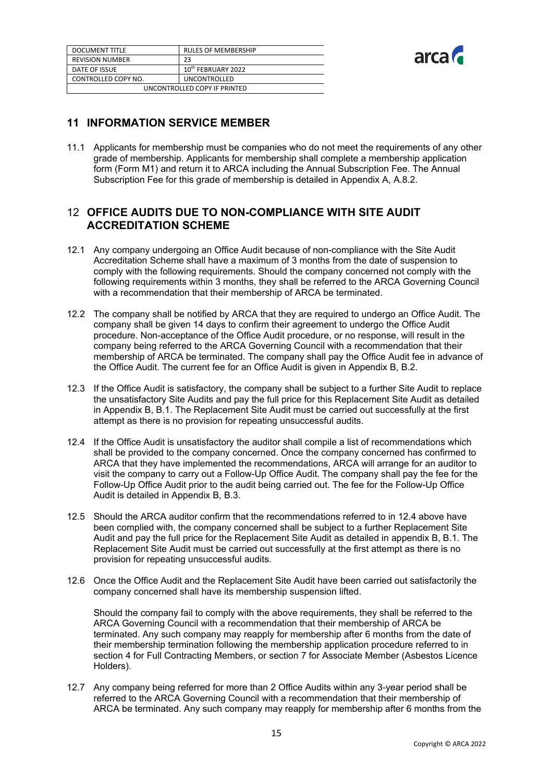| <b>DOCUMENT TITLE</b>        | <b>RULES OF MEMBERSHIP</b>     |  |
|------------------------------|--------------------------------|--|
| <b>REVISION NUMBER</b>       | 23                             |  |
| DATE OF ISSUE                | 10 <sup>th</sup> FEBRUARY 2022 |  |
| CONTROLLED COPY NO.          | <b>UNCONTROLLED</b>            |  |
| UNCONTROLLED COPY IF PRINTED |                                |  |



# <span id="page-15-0"></span>**11 INFORMATION SERVICE MEMBER**

11.1 Applicants for membership must be companies who do not meet the requirements of any other grade of membership. Applicants for membership shall complete a membership application form (Form M1) and return it to ARCA including the Annual Subscription Fee. The Annual Subscription Fee for this grade of membership is detailed in Appendix A, A.8.2.

# <span id="page-15-1"></span>12 **OFFICE AUDITS DUE TO NON-COMPLIANCE WITH SITE AUDIT ACCREDITATION SCHEME**

- 12.1 Any company undergoing an Office Audit because of non-compliance with the Site Audit Accreditation Scheme shall have a maximum of 3 months from the date of suspension to comply with the following requirements. Should the company concerned not comply with the following requirements within 3 months, they shall be referred to the ARCA Governing Council with a recommendation that their membership of ARCA be terminated.
- 12.2 The company shall be notified by ARCA that they are required to undergo an Office Audit. The company shall be given 14 days to confirm their agreement to undergo the Office Audit procedure. Non-acceptance of the Office Audit procedure, or no response, will result in the company being referred to the ARCA Governing Council with a recommendation that their membership of ARCA be terminated. The company shall pay the Office Audit fee in advance of the Office Audit. The current fee for an Office Audit is given in Appendix B, B.2.
- 12.3 If the Office Audit is satisfactory, the company shall be subject to a further Site Audit to replace the unsatisfactory Site Audits and pay the full price for this Replacement Site Audit as detailed in Appendix B, B.1. The Replacement Site Audit must be carried out successfully at the first attempt as there is no provision for repeating unsuccessful audits.
- 12.4 If the Office Audit is unsatisfactory the auditor shall compile a list of recommendations which shall be provided to the company concerned. Once the company concerned has confirmed to ARCA that they have implemented the recommendations, ARCA will arrange for an auditor to visit the company to carry out a Follow-Up Office Audit. The company shall pay the fee for the Follow-Up Office Audit prior to the audit being carried out. The fee for the Follow-Up Office Audit is detailed in Appendix B, B.3.
- 12.5 Should the ARCA auditor confirm that the recommendations referred to in 12.4 above have been complied with, the company concerned shall be subject to a further Replacement Site Audit and pay the full price for the Replacement Site Audit as detailed in appendix B, B.1. The Replacement Site Audit must be carried out successfully at the first attempt as there is no provision for repeating unsuccessful audits.
- 12.6 Once the Office Audit and the Replacement Site Audit have been carried out satisfactorily the company concerned shall have its membership suspension lifted.

Should the company fail to comply with the above requirements, they shall be referred to the ARCA Governing Council with a recommendation that their membership of ARCA be terminated. Any such company may reapply for membership after 6 months from the date of their membership termination following the membership application procedure referred to in section 4 for Full Contracting Members, or section 7 for Associate Member (Asbestos Licence Holders).

12.7 Any company being referred for more than 2 Office Audits within any 3-year period shall be referred to the ARCA Governing Council with a recommendation that their membership of ARCA be terminated. Any such company may reapply for membership after 6 months from the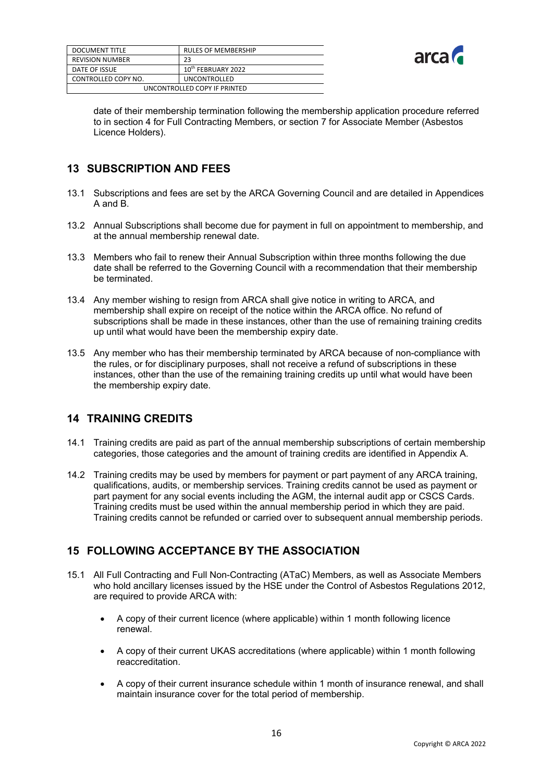| <b>DOCUMENT TITLE</b>        | <b>RULES OF MEMBERSHIP</b>     |  |
|------------------------------|--------------------------------|--|
| <b>REVISION NUMBER</b>       | 23                             |  |
| DATE OF ISSUE                | 10 <sup>th</sup> FEBRUARY 2022 |  |
| CONTROLLED COPY NO.          | <b>UNCONTROLLED</b>            |  |
| UNCONTROLLED COPY IF PRINTED |                                |  |



date of their membership termination following the membership application procedure referred to in section 4 for Full Contracting Members, or section 7 for Associate Member (Asbestos Licence Holders).

# <span id="page-16-0"></span>**13 SUBSCRIPTION AND FEES**

- 13.1 Subscriptions and fees are set by the ARCA Governing Council and are detailed in Appendices A and B.
- 13.2 Annual Subscriptions shall become due for payment in full on appointment to membership, and at the annual membership renewal date.
- 13.3 Members who fail to renew their Annual Subscription within three months following the due date shall be referred to the Governing Council with a recommendation that their membership be terminated.
- 13.4 Any member wishing to resign from ARCA shall give notice in writing to ARCA, and membership shall expire on receipt of the notice within the ARCA office. No refund of subscriptions shall be made in these instances, other than the use of remaining training credits up until what would have been the membership expiry date.
- 13.5 Any member who has their membership terminated by ARCA because of non-compliance with the rules, or for disciplinary purposes, shall not receive a refund of subscriptions in these instances, other than the use of the remaining training credits up until what would have been the membership expiry date.

# <span id="page-16-1"></span>**14 TRAINING CREDITS**

- 14.1 Training credits are paid as part of the annual membership subscriptions of certain membership categories, those categories and the amount of training credits are identified in Appendix A.
- 14.2 Training credits may be used by members for payment or part payment of any ARCA training, qualifications, audits, or membership services. Training credits cannot be used as payment or part payment for any social events including the AGM, the internal audit app or CSCS Cards. Training credits must be used within the annual membership period in which they are paid. Training credits cannot be refunded or carried over to subsequent annual membership periods.

# <span id="page-16-2"></span>**15 FOLLOWING ACCEPTANCE BY THE ASSOCIATION**

- 15.1 All Full Contracting and Full Non-Contracting (ATaC) Members, as well as Associate Members who hold ancillary licenses issued by the HSE under the Control of Asbestos Regulations 2012, are required to provide ARCA with:
	- A copy of their current licence (where applicable) within 1 month following licence renewal.
	- A copy of their current UKAS accreditations (where applicable) within 1 month following reaccreditation.
	- A copy of their current insurance schedule within 1 month of insurance renewal, and shall maintain insurance cover for the total period of membership.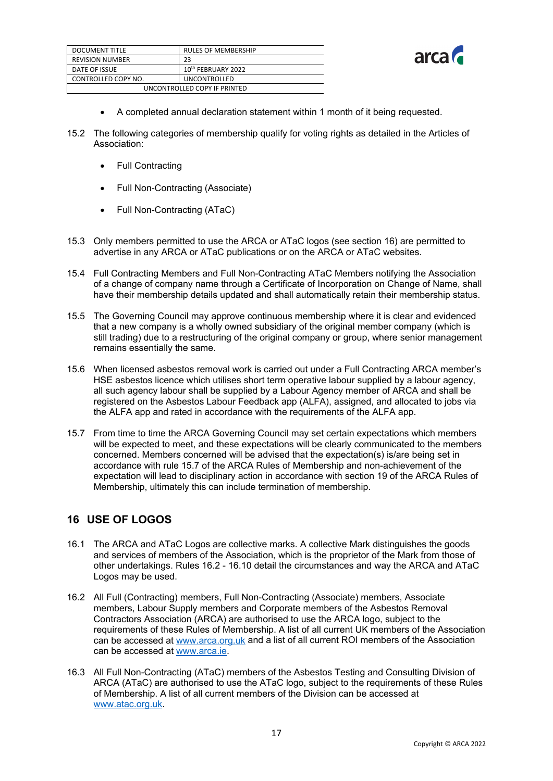| <b>DOCUMENT TITLE</b>        | <b>RULES OF MEMBERSHIP</b>     |  |
|------------------------------|--------------------------------|--|
| <b>REVISION NUMBER</b>       | 23                             |  |
| DATE OF ISSUE                | 10 <sup>th</sup> FEBRUARY 2022 |  |
| CONTROLLED COPY NO.          | <b>UNCONTROLLED</b>            |  |
| UNCONTROLLED COPY IF PRINTED |                                |  |



- A completed annual declaration statement within 1 month of it being requested.
- 15.2 The following categories of membership qualify for voting rights as detailed in the Articles of Association:
	- Full Contracting
	- Full Non-Contracting (Associate)
	- Full Non-Contracting (ATaC)
- 15.3 Only members permitted to use the ARCA or ATaC logos (see section 16) are permitted to advertise in any ARCA or ATaC publications or on the ARCA or ATaC websites.
- 15.4 Full Contracting Members and Full Non-Contracting ATaC Members notifying the Association of a change of company name through a Certificate of Incorporation on Change of Name, shall have their membership details updated and shall automatically retain their membership status.
- 15.5 The Governing Council may approve continuous membership where it is clear and evidenced that a new company is a wholly owned subsidiary of the original member company (which is still trading) due to a restructuring of the original company or group, where senior management remains essentially the same.
- 15.6 When licensed asbestos removal work is carried out under a Full Contracting ARCA member's HSE asbestos licence which utilises short term operative labour supplied by a labour agency, all such agency labour shall be supplied by a Labour Agency member of ARCA and shall be registered on the Asbestos Labour Feedback app (ALFA), assigned, and allocated to jobs via the ALFA app and rated in accordance with the requirements of the ALFA app.
- 15.7 From time to time the ARCA Governing Council may set certain expectations which members will be expected to meet, and these expectations will be clearly communicated to the members concerned. Members concerned will be advised that the expectation(s) is/are being set in accordance with rule 15.7 of the ARCA Rules of Membership and non-achievement of the expectation will lead to disciplinary action in accordance with section 19 of the ARCA Rules of Membership, ultimately this can include termination of membership.

# <span id="page-17-0"></span>**16 USE OF LOGOS**

- 16.1 The ARCA and ATaC Logos are collective marks. A collective Mark distinguishes the goods and services of members of the Association, which is the proprietor of the Mark from those of other undertakings. Rules 16.2 - 16.10 detail the circumstances and way the ARCA and ATaC Logos may be used.
- 16.2 All Full (Contracting) members, Full Non-Contracting (Associate) members, Associate members, Labour Supply members and Corporate members of the Asbestos Removal Contractors Association (ARCA) are authorised to use the ARCA logo, subject to the requirements of these Rules of Membership. A list of all current UK members of the Association can be accessed a[t www.arca.org.uk](http://www.arca.org.uk/) and a list of all current ROI members of the Association can be accessed a[t www.arca.ie.](http://www.arca.ie/)
- 16.3 All Full Non-Contracting (ATaC) members of the Asbestos Testing and Consulting Division of ARCA (ATaC) are authorised to use the ATaC logo, subject to the requirements of these Rules of Membership. A list of all current members of the Division can be accessed at [www.atac.org.uk.](http://www.atac.org.uk/)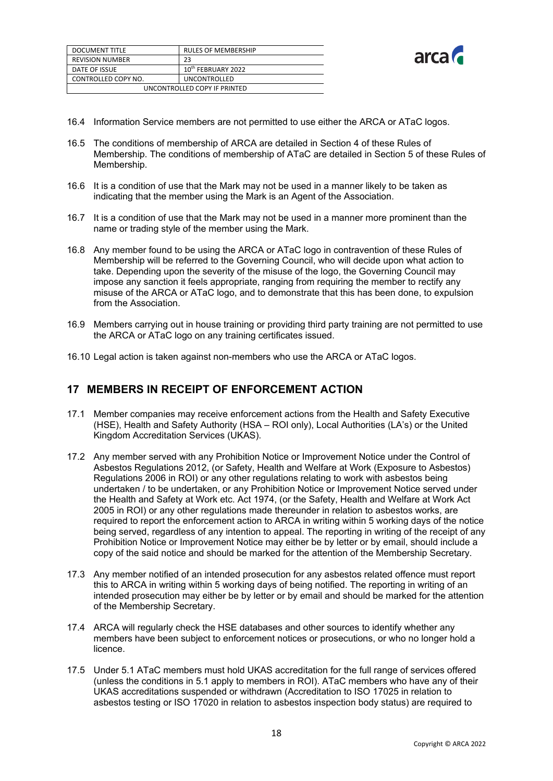| <b>DOCUMENT TITLE</b>        | <b>RULES OF MEMBERSHIP</b>     |  |
|------------------------------|--------------------------------|--|
| <b>REVISION NUMBER</b>       | 23                             |  |
| DATE OF ISSUE                | 10 <sup>th</sup> FEBRUARY 2022 |  |
| CONTROLLED COPY NO.          | <b>UNCONTROLLED</b>            |  |
| UNCONTROLLED COPY IF PRINTED |                                |  |



- 16.4 Information Service members are not permitted to use either the ARCA or ATaC logos.
- 16.5 The conditions of membership of ARCA are detailed in Section 4 of these Rules of Membership. The conditions of membership of ATaC are detailed in Section 5 of these Rules of Membership.
- 16.6 It is a condition of use that the Mark may not be used in a manner likely to be taken as indicating that the member using the Mark is an Agent of the Association.
- 16.7 It is a condition of use that the Mark may not be used in a manner more prominent than the name or trading style of the member using the Mark.
- 16.8 Any member found to be using the ARCA or ATaC logo in contravention of these Rules of Membership will be referred to the Governing Council, who will decide upon what action to take. Depending upon the severity of the misuse of the logo, the Governing Council may impose any sanction it feels appropriate, ranging from requiring the member to rectify any misuse of the ARCA or ATaC logo, and to demonstrate that this has been done, to expulsion from the Association.
- 16.9 Members carrying out in house training or providing third party training are not permitted to use the ARCA or ATaC logo on any training certificates issued.
- 16.10 Legal action is taken against non-members who use the ARCA or ATaC logos.

# <span id="page-18-0"></span>**17 MEMBERS IN RECEIPT OF ENFORCEMENT ACTION**

- 17.1 Member companies may receive enforcement actions from the Health and Safety Executive (HSE), Health and Safety Authority (HSA – ROI only), Local Authorities (LA's) or the United Kingdom Accreditation Services (UKAS).
- 17.2 Any member served with any Prohibition Notice or Improvement Notice under the Control of Asbestos Regulations 2012, (or Safety, Health and Welfare at Work (Exposure to Asbestos) Regulations 2006 in ROI) or any other regulations relating to work with asbestos being undertaken / to be undertaken, or any Prohibition Notice or Improvement Notice served under the Health and Safety at Work etc. Act 1974, (or the Safety, Health and Welfare at Work Act 2005 in ROI) or any other regulations made thereunder in relation to asbestos works, are required to report the enforcement action to ARCA in writing within 5 working days of the notice being served, regardless of any intention to appeal. The reporting in writing of the receipt of any Prohibition Notice or Improvement Notice may either be by letter or by email, should include a copy of the said notice and should be marked for the attention of the Membership Secretary.
- 17.3 Any member notified of an intended prosecution for any asbestos related offence must report this to ARCA in writing within 5 working days of being notified. The reporting in writing of an intended prosecution may either be by letter or by email and should be marked for the attention of the Membership Secretary.
- 17.4 ARCA will regularly check the HSE databases and other sources to identify whether any members have been subject to enforcement notices or prosecutions, or who no longer hold a licence.
- 17.5 Under 5.1 ATaC members must hold UKAS accreditation for the full range of services offered (unless the conditions in 5.1 apply to members in ROI). ATaC members who have any of their UKAS accreditations suspended or withdrawn (Accreditation to ISO 17025 in relation to asbestos testing or ISO 17020 in relation to asbestos inspection body status) are required to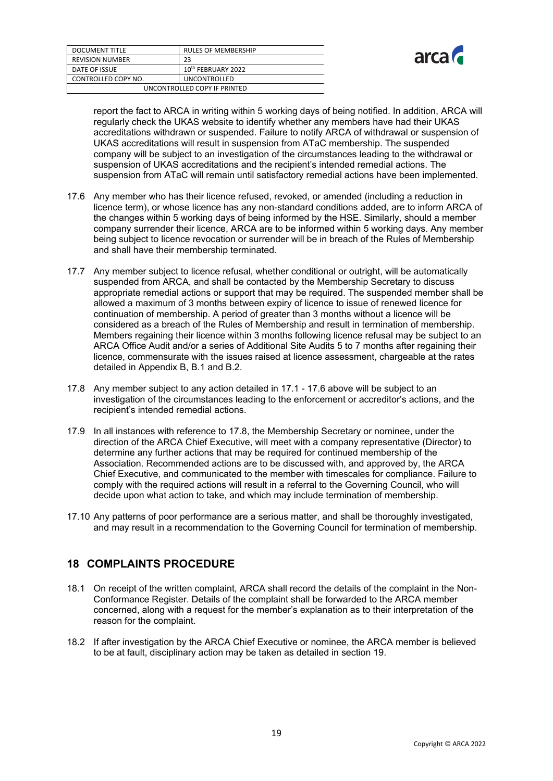| <b>DOCUMENT TITLE</b>        | <b>RULES OF MEMBERSHIP</b>     |  |
|------------------------------|--------------------------------|--|
| <b>REVISION NUMBER</b>       | 23                             |  |
| DATE OF ISSUE                | 10 <sup>th</sup> FEBRUARY 2022 |  |
| CONTROLLED COPY NO.          | <b>UNCONTROLLED</b>            |  |
| UNCONTROLLED COPY IF PRINTED |                                |  |



report the fact to ARCA in writing within 5 working days of being notified. In addition, ARCA will regularly check the UKAS website to identify whether any members have had their UKAS accreditations withdrawn or suspended. Failure to notify ARCA of withdrawal or suspension of UKAS accreditations will result in suspension from ATaC membership. The suspended company will be subject to an investigation of the circumstances leading to the withdrawal or suspension of UKAS accreditations and the recipient's intended remedial actions. The suspension from ATaC will remain until satisfactory remedial actions have been implemented.

- 17.6 Any member who has their licence refused, revoked, or amended (including a reduction in licence term), or whose licence has any non-standard conditions added, are to inform ARCA of the changes within 5 working days of being informed by the HSE. Similarly, should a member company surrender their licence, ARCA are to be informed within 5 working days. Any member being subject to licence revocation or surrender will be in breach of the Rules of Membership and shall have their membership terminated.
- 17.7 Any member subject to licence refusal, whether conditional or outright, will be automatically suspended from ARCA, and shall be contacted by the Membership Secretary to discuss appropriate remedial actions or support that may be required. The suspended member shall be allowed a maximum of 3 months between expiry of licence to issue of renewed licence for continuation of membership. A period of greater than 3 months without a licence will be considered as a breach of the Rules of Membership and result in termination of membership. Members regaining their licence within 3 months following licence refusal may be subject to an ARCA Office Audit and/or a series of Additional Site Audits 5 to 7 months after regaining their licence, commensurate with the issues raised at licence assessment, chargeable at the rates detailed in Appendix B, B.1 and B.2.
- 17.8 Any member subject to any action detailed in 17.1 17.6 above will be subject to an investigation of the circumstances leading to the enforcement or accreditor's actions, and the recipient's intended remedial actions.
- 17.9 In all instances with reference to 17.8, the Membership Secretary or nominee, under the direction of the ARCA Chief Executive, will meet with a company representative (Director) to determine any further actions that may be required for continued membership of the Association. Recommended actions are to be discussed with, and approved by, the ARCA Chief Executive, and communicated to the member with timescales for compliance. Failure to comply with the required actions will result in a referral to the Governing Council, who will decide upon what action to take, and which may include termination of membership.
- 17.10 Any patterns of poor performance are a serious matter, and shall be thoroughly investigated, and may result in a recommendation to the Governing Council for termination of membership.

# <span id="page-19-0"></span>**18 COMPLAINTS PROCEDURE**

- 18.1 On receipt of the written complaint, ARCA shall record the details of the complaint in the Non-Conformance Register. Details of the complaint shall be forwarded to the ARCA member concerned, along with a request for the member's explanation as to their interpretation of the reason for the complaint.
- 18.2 If after investigation by the ARCA Chief Executive or nominee, the ARCA member is believed to be at fault, disciplinary action may be taken as detailed in section 19.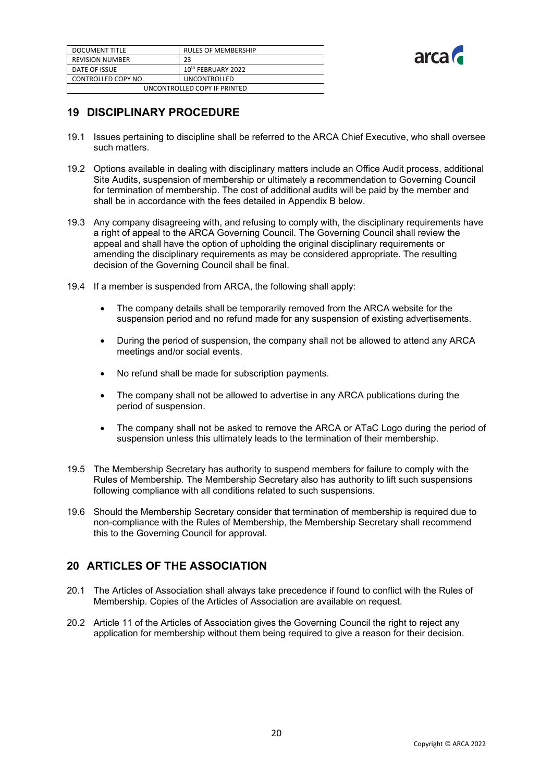| DOCUMENT TITLE               | <b>RULES OF MEMBERSHIP</b>     |  |
|------------------------------|--------------------------------|--|
| <b>REVISION NUMBER</b>       | 23                             |  |
| DATE OF ISSUE                | 10 <sup>th</sup> FEBRUARY 2022 |  |
| CONTROLLED COPY NO.          | <b>UNCONTROLLED</b>            |  |
| UNCONTROLLED COPY IF PRINTED |                                |  |



### <span id="page-20-0"></span>**19 DISCIPLINARY PROCEDURE**

- 19.1 Issues pertaining to discipline shall be referred to the ARCA Chief Executive, who shall oversee such matters.
- 19.2 Options available in dealing with disciplinary matters include an Office Audit process, additional Site Audits, suspension of membership or ultimately a recommendation to Governing Council for termination of membership. The cost of additional audits will be paid by the member and shall be in accordance with the fees detailed in Appendix B below.
- 19.3 Any company disagreeing with, and refusing to comply with, the disciplinary requirements have a right of appeal to the ARCA Governing Council. The Governing Council shall review the appeal and shall have the option of upholding the original disciplinary requirements or amending the disciplinary requirements as may be considered appropriate. The resulting decision of the Governing Council shall be final.
- 19.4 If a member is suspended from ARCA, the following shall apply:
	- The company details shall be temporarily removed from the ARCA website for the suspension period and no refund made for any suspension of existing advertisements.
	- During the period of suspension, the company shall not be allowed to attend any ARCA meetings and/or social events.
	- No refund shall be made for subscription payments.
	- The company shall not be allowed to advertise in any ARCA publications during the period of suspension.
	- The company shall not be asked to remove the ARCA or ATaC Logo during the period of suspension unless this ultimately leads to the termination of their membership.
- 19.5 The Membership Secretary has authority to suspend members for failure to comply with the Rules of Membership. The Membership Secretary also has authority to lift such suspensions following compliance with all conditions related to such suspensions.
- 19.6 Should the Membership Secretary consider that termination of membership is required due to non-compliance with the Rules of Membership, the Membership Secretary shall recommend this to the Governing Council for approval.

# <span id="page-20-1"></span>**20 ARTICLES OF THE ASSOCIATION**

- 20.1 The Articles of Association shall always take precedence if found to conflict with the Rules of Membership. Copies of the Articles of Association are available on request.
- 20.2 Article 11 of the Articles of Association gives the Governing Council the right to reject any application for membership without them being required to give a reason for their decision.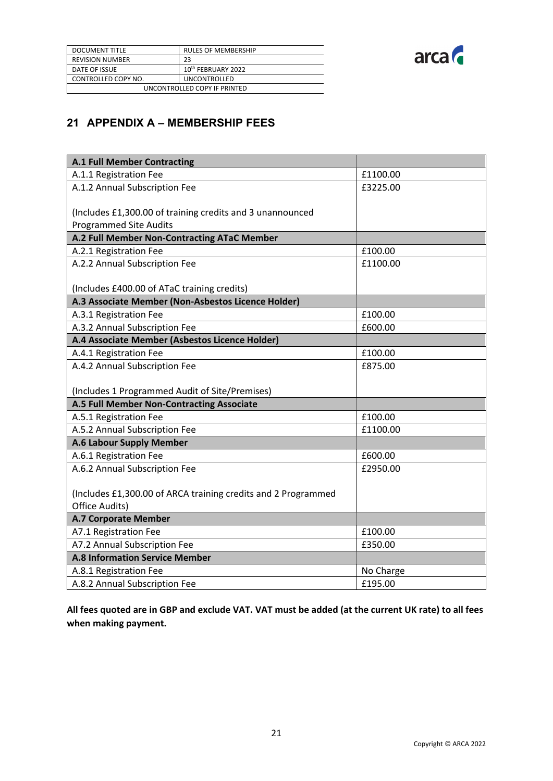

| <b>DOCUMENT TITLE</b>        | <b>RULES OF MEMBERSHIP</b>     |  |
|------------------------------|--------------------------------|--|
| <b>REVISION NUMBER</b>       | 23                             |  |
| DATE OF ISSUE                | 10 <sup>th</sup> FEBRUARY 2022 |  |
| CONTROLLED COPY NO.          | <b>UNCONTROLLED</b>            |  |
| UNCONTROLLED COPY IF PRINTED |                                |  |

# <span id="page-21-0"></span>**21 APPENDIX A – MEMBERSHIP FEES**

| <b>A.1 Full Member Contracting</b>                            |           |
|---------------------------------------------------------------|-----------|
| A.1.1 Registration Fee                                        | £1100.00  |
| A.1.2 Annual Subscription Fee                                 | £3225.00  |
|                                                               |           |
| (Includes £1,300.00 of training credits and 3 unannounced     |           |
| <b>Programmed Site Audits</b>                                 |           |
| A.2 Full Member Non-Contracting ATaC Member                   |           |
| A.2.1 Registration Fee                                        | £100.00   |
| A.2.2 Annual Subscription Fee                                 | £1100.00  |
|                                                               |           |
| (Includes £400.00 of ATaC training credits)                   |           |
| A.3 Associate Member (Non-Asbestos Licence Holder)            |           |
| A.3.1 Registration Fee                                        | £100.00   |
| A.3.2 Annual Subscription Fee                                 | £600.00   |
| A.4 Associate Member (Asbestos Licence Holder)                |           |
| A.4.1 Registration Fee                                        | £100.00   |
| A.4.2 Annual Subscription Fee                                 | £875.00   |
|                                                               |           |
| (Includes 1 Programmed Audit of Site/Premises)                |           |
| A.5 Full Member Non-Contracting Associate                     |           |
| A.5.1 Registration Fee                                        | £100.00   |
| A.5.2 Annual Subscription Fee                                 | £1100.00  |
| A.6 Labour Supply Member                                      |           |
| A.6.1 Registration Fee                                        | £600.00   |
| A.6.2 Annual Subscription Fee                                 | £2950.00  |
|                                                               |           |
| (Includes £1,300.00 of ARCA training credits and 2 Programmed |           |
| Office Audits)                                                |           |
| <b>A.7 Corporate Member</b>                                   |           |
| A7.1 Registration Fee                                         | £100.00   |
| A7.2 Annual Subscription Fee                                  | £350.00   |
| <b>A.8 Information Service Member</b>                         |           |
| A.8.1 Registration Fee                                        | No Charge |
| A.8.2 Annual Subscription Fee                                 | £195.00   |

**All fees quoted are in GBP and exclude VAT. VAT must be added (at the current UK rate) to all fees when making payment.**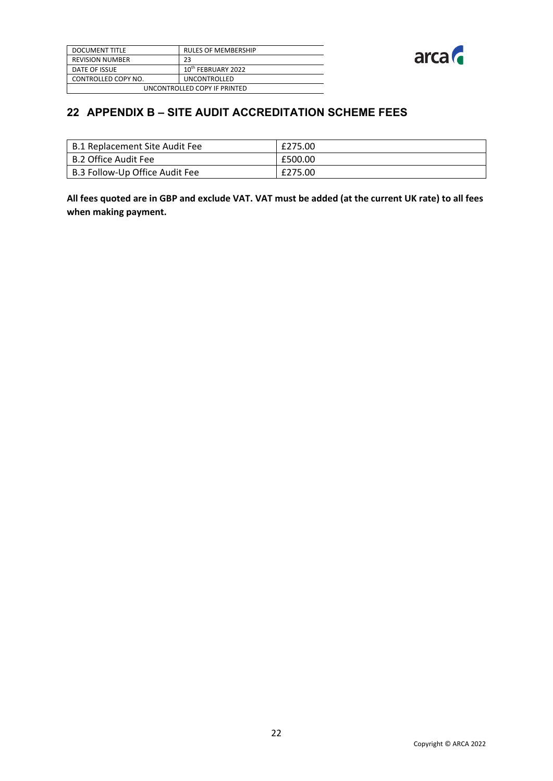| <b>DOCUMENT TITLE</b>        | <b>RULES OF MEMBERSHIP</b>     |  |
|------------------------------|--------------------------------|--|
| <b>REVISION NUMBER</b>       | 23                             |  |
| DATE OF ISSUE                | 10 <sup>th</sup> FEBRUARY 2022 |  |
| CONTROLLED COPY NO.          | <b>UNCONTROLLED</b>            |  |
| UNCONTROLLED COPY IF PRINTED |                                |  |



# <span id="page-22-0"></span>**22 APPENDIX B – SITE AUDIT ACCREDITATION SCHEME FEES**

| B.1 Replacement Site Audit Fee | £275.00 |
|--------------------------------|---------|
| B.2 Office Audit Fee           | £500.00 |
| B.3 Follow-Up Office Audit Fee | £275.00 |

**All fees quoted are in GBP and exclude VAT. VAT must be added (at the current UK rate) to all fees when making payment.**